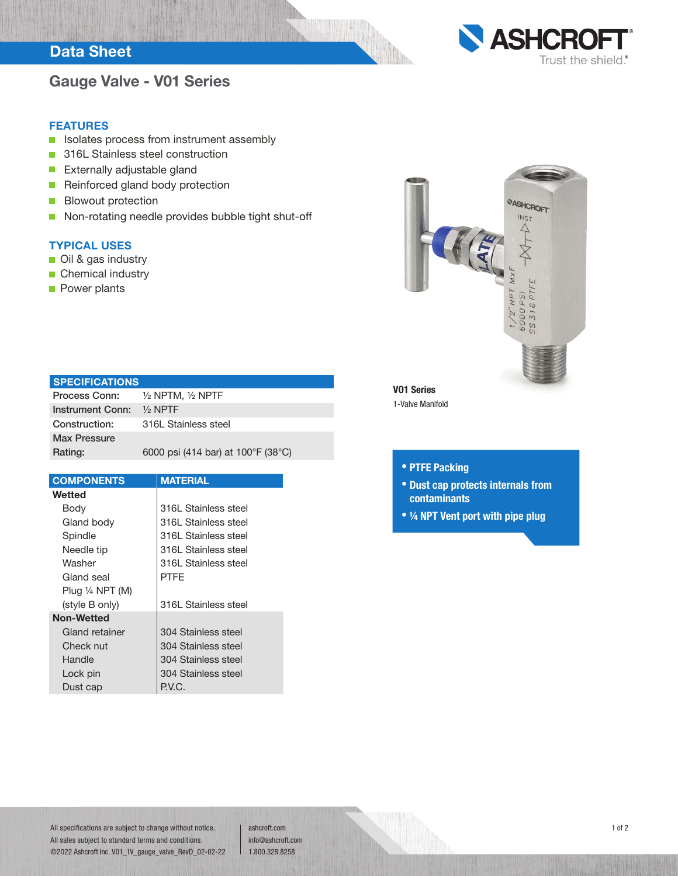## Data Sheet

## Gauge Valve - V01 Series



### FEATURES

- Isolates process from instrument assembly  $\overline{\phantom{a}}$
- 316L Stainless steel construction  $\overline{\phantom{a}}$
- $\overline{\phantom{a}}$ Externally adjustable gland
- Reinforced gland body protection  $\overline{\phantom{a}}$
- Blowout protection  $\overline{\phantom{a}}$
- $\mathcal{L}_{\mathcal{A}}$ Non-rotating needle provides bubble tight shut-off

### TYPICAL USES

- Oil & gas industry
- **Chemical industry**
- **Power plants**



### **SPECIFICATIONS**

| Process Conn:       | $\frac{1}{2}$ NPTM, $\frac{1}{2}$ NPTF |
|---------------------|----------------------------------------|
| Instrument Conn:    | $\frac{1}{2}$ NPTF                     |
| Construction:       | 316L Stainless steel                   |
| <b>Max Pressure</b> |                                        |
| Rating:             | 6000 psi (414 bar) at 100°F (38°C)     |

| <b>COMPONENTS</b>          | <b>MATERIAL</b>      |  |  |  |
|----------------------------|----------------------|--|--|--|
| Wetted                     |                      |  |  |  |
| Body                       | 316L Stainless steel |  |  |  |
| Gland body                 | 316L Stainless steel |  |  |  |
| Spindle                    | 316L Stainless steel |  |  |  |
| Needle tip                 | 316L Stainless steel |  |  |  |
| Washer                     | 316L Stainless steel |  |  |  |
| Gland seal                 | PTFF                 |  |  |  |
| Plug $\frac{1}{4}$ NPT (M) |                      |  |  |  |
| (style B only)             | 316L Stainless steel |  |  |  |
| <b>Non-Wetted</b>          |                      |  |  |  |
| Gland retainer             | 304 Stainless steel  |  |  |  |
| Check nut                  | 304 Stainless steel  |  |  |  |
| Handle                     | 304 Stainless steel  |  |  |  |
| Lock pin                   | 304 Stainless steel  |  |  |  |
| Dust cap                   | P.V.C.               |  |  |  |

1-Valve Manifold

### • PTFE Packing

- Dust cap protects internals from contaminants
- ¼ NPT Vent port with pipe plug

All specifications are subject to change without notice. All sales subject to standard terms and conditions. ©2022 Ashcroft Inc. V01\_1V\_gauge\_valve\_RevD\_02-02-22

ashcroft.com info@ashcroft.com 1.800.328.8258